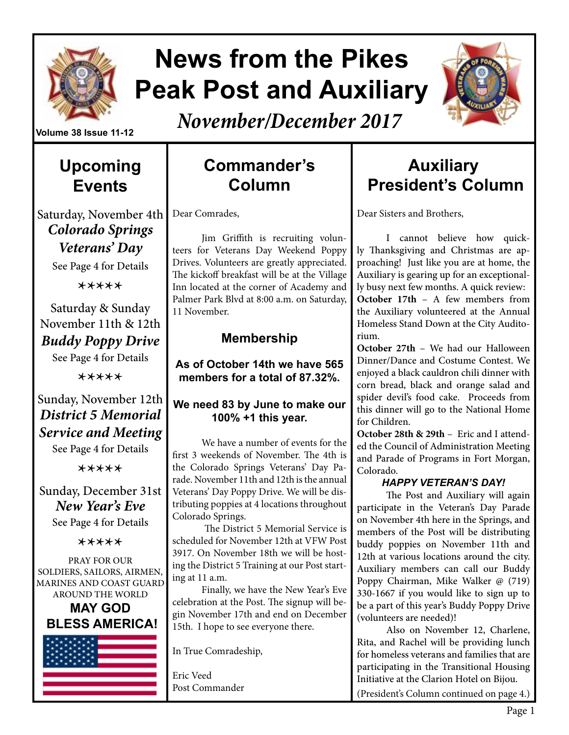

# **News from the Pikes Peak Post and Auxiliary**



*November/December 2017*

# **Upcoming Events**

# Saturday, November 4th *Colorado Springs*

*Veterans' Day*  See Page 4 for Details

\*\*\*\*\*

Saturday & Sunday November 11th & 12th *Buddy Poppy Drive* 

See Page 4 for Details

\*\*\*\*\*

#### Sunday, November 12th *District 5 Memorial Service and Meeting*

See Page 4 for Details

\*\*\*\*\*

Sunday, December 31st *New Year's Eve* 

See Page 4 for Details

\*\*\*\*\*

PRAY FOR OUR SOLDIERS, SAILORS, AIRMEN, MARINES AND COAST GUARD AROUND THE WORLD

**MAY GOD BLESS AMERICA!**



# **Commander's Column**

Dear Comrades,

Jim Griffith is recruiting volunteers for Veterans Day Weekend Poppy Drives. Volunteers are greatly appreciated. The kickoff breakfast will be at the Village Inn located at the corner of Academy and Palmer Park Blvd at 8:00 a.m. on Saturday, 11 November.

#### **Membership**

**As of October 14th we have 565 members for a total of 87.32%.** 

#### **We need 83 by June to make our 100% +1 this year.**

We have a number of events for the first 3 weekends of November. The 4th is the Colorado Springs Veterans' Day Parade. November 11th and 12th is the annual Veterans' Day Poppy Drive. We will be distributing poppies at 4 locations throughout Colorado Springs.

 The District 5 Memorial Service is scheduled for November 12th at VFW Post 3917. On November 18th we will be hosting the District 5 Training at our Post starting at 11 a.m.

Finally, we have the New Year's Eve celebration at the Post. The signup will begin November 17th and end on December 15th. I hope to see everyone there.

In True Comradeship,

Eric Veed Post Commander

# **Auxiliary President's Column**

Dear Sisters and Brothers,

I cannot believe how quickly Thanksgiving and Christmas are approaching! Just like you are at home, the Auxiliary is gearing up for an exceptionally busy next few months. A quick review: **October 17th** – A few members from the Auxiliary volunteered at the Annual Homeless Stand Down at the City Auditorium.

**October 27th** – We had our Halloween Dinner/Dance and Costume Contest. We enjoyed a black cauldron chili dinner with corn bread, black and orange salad and spider devil's food cake. Proceeds from this dinner will go to the National Home for Children.

**October 28th & 29th** – Eric and I attended the Council of Administration Meeting and Parade of Programs in Fort Morgan, Colorado.

#### *HAPPY VETERAN'S DAY!*

The Post and Auxiliary will again participate in the Veteran's Day Parade on November 4th here in the Springs, and members of the Post will be distributing buddy poppies on November 11th and 12th at various locations around the city. Auxiliary members can call our Buddy Poppy Chairman, Mike Walker @ (719) 330-1667 if you would like to sign up to be a part of this year's Buddy Poppy Drive (volunteers are needed)!

Also on November 12, Charlene, Rita, and Rachel will be providing lunch for homeless veterans and families that are participating in the Transitional Housing Initiative at the Clarion Hotel on Bijou. (President's Column continued on page 4.)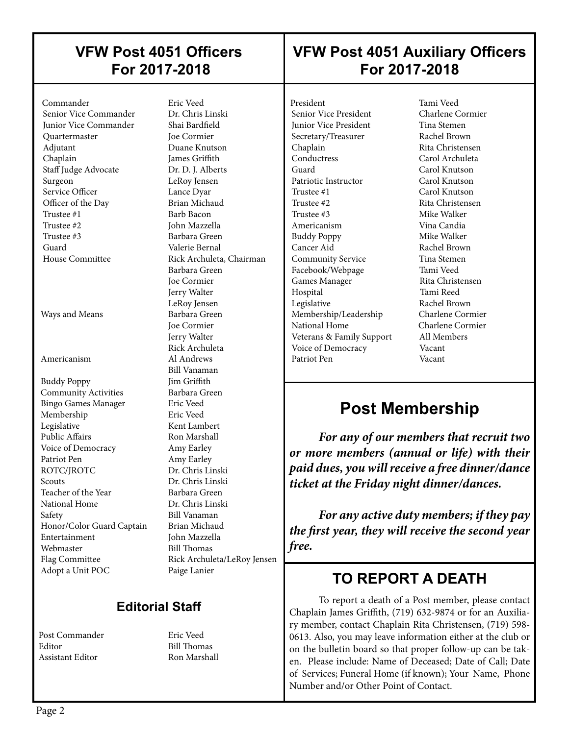#### **VFW Post 4051 Officers For 2017-2018**

# **VFW Post 4051 Auxiliary Officers For 2017-2018**

 Commander Eric Veed Senior Vice Commander Junior Vice Commander Shai Bardfield Quartermaster Joe Cormier Adjutant Duane Knutson Chaplain James Griffith Staff Judge Advocate Dr. D. J. Alberts Surgeon LeRoy Jensen Service Officer Lance Dyar Officer of the Day Brian Michaud<br>Trustee #1 Barb Bacon Trustee #2 John Mazzella Trustee #3 Barbara Green Guard Valerie Bernal House Committee Rick Archuleta, Chairman

 $\overline{\phantom{a}}$ 

Ways and Means Barbara Green

 Buddy Poppy Jim Griffith **Community Activities** Barbara Green Bingo Games Manager Eric Veed Membership Eric Veed Legislative Kent Lambert Public Affairs **Ron Marshall**  Voice of Democracy Amy Earley Patriot Pen Amy Earley<br>ROTC/IROTC Dr. Chris Lii Scouts Dr. Chris Linski Teacher of the Year Barbara Green National Home Dr. Chris Linski Safety Bill Vanaman Honor/Color Guard Captain Brian Michaud Entertainment John Mazzella Webmaster Bill Thomas<br>
Flag Committee Rick Archule Adopt a Unit POC Paige Lanier

Barb Bacon Barbara Green Joe Cormier Jerry Walter LeRoy Jensen Joe Cormier Jerry Walter Rick Archuleta Americanism Al Andrews Bill Vanaman Dr. Chris Linski Rick Archuleta/LeRoy Jensen

#### **Editorial Staff**

Post Commander Eric Veed Editor Bill Thomas Assistant Editor Ron Marshall

President Tami Veed<br>
Senior Vice President Charlene Cormier Senior Vice President **Junior Vice President Tina Stemen** Secretary/Treasurer Rachel Brown Chaplain Rita Christensen<br>
Carol Archuleta<br>
Carol Archuleta Guard Carol Knutson Patriotic Instructor Carol Knutson Trustee #1 Carol Knutson Trustee #2 Rita Christensen Trustee #3 Mike Walker Americanism Vina Candia Buddy Poppy Mike Walker Cancer Aid Rachel Brown Community Service Tina Stemen Facebook/Webpage Tami Veed Games Manager Rita Christensen Hospital Tami Reed Legislative Rachel Brown Membership/Leadership Charlene Cormier National Home Charlene Cormier Veterans & Family Support All Members Voice of Democracy Vacant Patriot Pen Vacant

 $\overline{\phantom{a}}$ 

 $\overline{\phantom{a}}$ 

Carol Archuleta

# **Post Membership**

*For any of our members that recruit two or more members (annual or life) with their paid dues, you will receive a free dinner/dance ticket at the Friday night dinner/dances.*

*For any active duty members; if they pay the first year, they will receive the second year free.*

# **TO REPORT A DEATH**

To report a death of a Post member, please contact Chaplain James Griffith, (719) 632-9874 or for an Auxiliary member, contact Chaplain Rita Christensen, (719) 598- 0613. Also, you may leave information either at the club or on the bulletin board so that proper follow-up can be taken. Please include: Name of Deceased; Date of Call; Date of Services; Funeral Home (if known); Your Name, Phone Number and/or Other Point of Contact.

 $\overline{\phantom{a}}$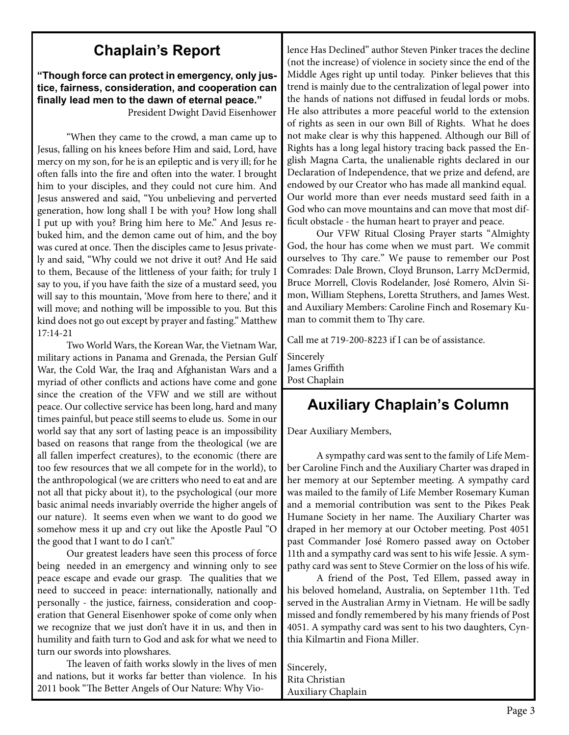# **Chaplain's Report**

**"Though force can protect in emergency, only justice, fairness, consideration, and cooperation can finally lead men to the dawn of eternal peace."** 

President Dwight David Eisenhower

"When they came to the crowd, a man came up to Jesus, falling on his knees before Him and said, Lord, have mercy on my son, for he is an epileptic and is very ill; for he often falls into the fire and often into the water. I brought him to your disciples, and they could not cure him. And Jesus answered and said, "You unbelieving and perverted generation, how long shall I be with you? How long shall I put up with you? Bring him here to Me." And Jesus rebuked him, and the demon came out of him, and the boy was cured at once. Then the disciples came to Jesus privately and said, "Why could we not drive it out? And He said to them, Because of the littleness of your faith; for truly I say to you, if you have faith the size of a mustard seed, you will say to this mountain, 'Move from here to there,' and it will move; and nothing will be impossible to you. But this kind does not go out except by prayer and fasting." Matthew 17:14-21

Two World Wars, the Korean War, the Vietnam War, military actions in Panama and Grenada, the Persian Gulf War, the Cold War, the Iraq and Afghanistan Wars and a myriad of other conflicts and actions have come and gone since the creation of the VFW and we still are without peace. Our collective service has been long, hard and many times painful, but peace still seems to elude us. Some in our world say that any sort of lasting peace is an impossibility based on reasons that range from the theological (we are all fallen imperfect creatures), to the economic (there are too few resources that we all compete for in the world), to the anthropological (we are critters who need to eat and are not all that picky about it), to the psychological (our more basic animal needs invariably override the higher angels of our nature). It seems even when we want to do good we somehow mess it up and cry out like the Apostle Paul "O the good that I want to do I can't."

Our greatest leaders have seen this process of force being needed in an emergency and winning only to see peace escape and evade our grasp. The qualities that we need to succeed in peace: internationally, nationally and personally - the justice, fairness, consideration and cooperation that General Eisenhower spoke of come only when we recognize that we just don't have it in us, and then in humility and faith turn to God and ask for what we need to turn our swords into plowshares.

The leaven of faith works slowly in the lives of men and nations, but it works far better than violence. In his 2011 book "The Better Angels of Our Nature: Why Violence Has Declined" author Steven Pinker traces the decline (not the increase) of violence in society since the end of the Middle Ages right up until today. Pinker believes that this trend is mainly due to the centralization of legal power into the hands of nations not diffused in feudal lords or mobs. He also attributes a more peaceful world to the extension of rights as seen in our own Bill of Rights. What he does not make clear is why this happened. Although our Bill of Rights has a long legal history tracing back passed the English Magna Carta, the unalienable rights declared in our Declaration of Independence, that we prize and defend, are endowed by our Creator who has made all mankind equal. Our world more than ever needs mustard seed faith in a God who can move mountains and can move that most difficult obstacle - the human heart to prayer and peace.

Our VFW Ritual Closing Prayer starts "Almighty God, the hour has come when we must part. We commit ourselves to Thy care." We pause to remember our Post Comrades: Dale Brown, Cloyd Brunson, Larry McDermid, Bruce Morrell, Clovis Rodelander, José Romero, Alvin Simon, William Stephens, Loretta Struthers, and James West. and Auxiliary Members: Caroline Finch and Rosemary Kuman to commit them to Thy care.

Call me at 719-200-8223 if I can be of assistance.

Sincerely James Griffith Post Chaplain

# **Auxiliary Chaplain's Column**

Dear Auxiliary Members,

A sympathy card was sent to the family of Life Member Caroline Finch and the Auxiliary Charter was draped in her memory at our September meeting. A sympathy card was mailed to the family of Life Member Rosemary Kuman and a memorial contribution was sent to the Pikes Peak Humane Society in her name. The Auxiliary Charter was draped in her memory at our October meeting. Post 4051 past Commander José Romero passed away on October 11th and a sympathy card was sent to his wife Jessie. A sympathy card was sent to Steve Cormier on the loss of his wife.

A friend of the Post, Ted Ellem, passed away in his beloved homeland, Australia, on September 11th. Ted served in the Australian Army in Vietnam. He will be sadly missed and fondly remembered by his many friends of Post 4051. A sympathy card was sent to his two daughters, Cynthia Kilmartin and Fiona Miller.

Sincerely, Rita Christian Auxiliary Chaplain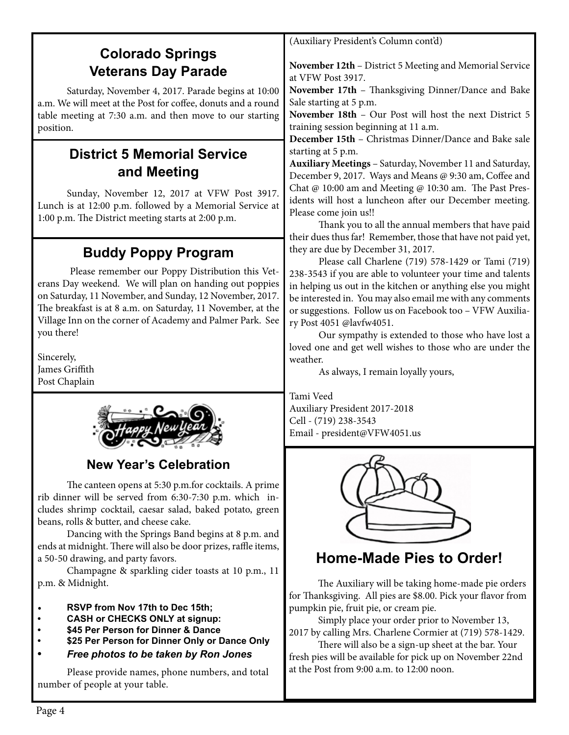# **Colorado Springs Veterans Day Parade**

Saturday, November 4, 2017. Parade begins at 10:00 a.m. We will meet at the Post for coffee, donuts and a round table meeting at 7:30 a.m. and then move to our starting position.

## **District 5 Memorial Service and Meeting**

Sunday, November 12, 2017 at VFW Post 3917. Lunch is at 12:00 p.m. followed by a Memorial Service at 1:00 p.m. The District meeting starts at 2:00 p.m.

# **Buddy Poppy Program**

 Please remember our Poppy Distribution this Veterans Day weekend. We will plan on handing out poppies on Saturday, 11 November, and Sunday, 12 November, 2017. The breakfast is at 8 a.m. on Saturday, 11 November, at the Village Inn on the corner of Academy and Palmer Park. See you there!

Sincerely, James Griffith Post Chaplain



#### **New Year's Celebration**

The canteen opens at 5:30 p.m.for cocktails. A prime rib dinner will be served from 6:30-7:30 p.m. which includes shrimp cocktail, caesar salad, baked potato, green beans, rolls & butter, and cheese cake.

Dancing with the Springs Band begins at 8 p.m. and ends at midnight. There will also be door prizes, raffle items, a 50-50 drawing, and party favors.

Champagne & sparkling cider toasts at 10 p.m., 11 p.m. & Midnight.

- **RSVP from Nov 17th to Dec 15th;**
- **• CASH or CHECKS ONLY at signup:**
- **• \$45 Per Person for Dinner & Dance**
- **• \$25 Per Person for Dinner Only or Dance Only**
- **•** *Free photos to be taken by Ron Jones*

Please provide names, phone numbers, and total number of people at your table.

(Auxiliary President's Column cont'd)

**November 12th** – District 5 Meeting and Memorial Service at VFW Post 3917.

**November 17th** – Thanksgiving Dinner/Dance and Bake Sale starting at 5 p.m.

**November 18th** – Our Post will host the next District 5 training session beginning at 11 a.m.

**December 15th** – Christmas Dinner/Dance and Bake sale starting at 5 p.m.

**Auxiliary Meetings** – Saturday, November 11 and Saturday, December 9, 2017. Ways and Means @ 9:30 am, Coffee and Chat @ 10:00 am and Meeting @ 10:30 am. The Past Presidents will host a luncheon after our December meeting. Please come join us!!

Thank you to all the annual members that have paid their dues thus far! Remember, those that have not paid yet, they are due by December 31, 2017.

Please call Charlene (719) 578-1429 or Tami (719) 238-3543 if you are able to volunteer your time and talents in helping us out in the kitchen or anything else you might be interested in. You may also email me with any comments or suggestions. Follow us on Facebook too – VFW Auxiliary Post 4051 @lavfw4051.

Our sympathy is extended to those who have lost a loved one and get well wishes to those who are under the weather.

As always, I remain loyally yours,

Tami Veed Auxiliary President 2017-2018 Cell - (719) 238-3543 Email - president@VFW4051.us



# **Home-Made Pies to Order!**

The Auxiliary will be taking home-made pie orders for Thanksgiving. All pies are \$8.00. Pick your flavor from pumpkin pie, fruit pie, or cream pie.

Simply place your order prior to November 13, 2017 by calling Mrs. Charlene Cormier at (719) 578-1429.

There will also be a sign-up sheet at the bar. Your fresh pies will be available for pick up on November 22nd at the Post from 9:00 a.m. to 12:00 noon.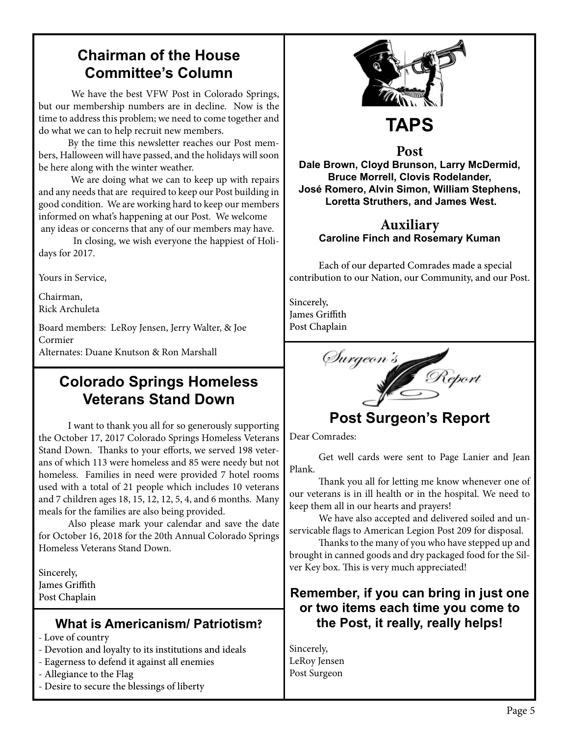# **Chairman of the House Committee's Column**

 We have the best VFW Post in Colorado Springs, but our membership numbers are in decline. Now is the time to address this problem; we need to come together and do what we can to help recruit new members.

By the time this newsletter reaches our Post members, Halloween will have passed, and the holidays will soon be here along with the winter weather.

 We are doing what we can to keep up with repairs and any needs that are required to keep our Post building in good condition. We are working hard to keep our members informed on what's happening at our Post. We welcome any ideas or concerns that any of our members may have.

 In closing, we wish everyone the happiest of Holidays for 2017.

Yours in Service,

Chairman, Rick Archuleta

Board members: LeRoy Jensen, Jerry Walter, & Joe Cormier

Alternates: Duane Knutson & Ron Marshall

#### **Colorado Springs Homeless Veterans Stand Down**

I want to thank you all for so generously supporting the October 17, 2017 Colorado Springs Homeless Veterans Stand Down. Thanks to your efforts, we served 198 veterans of which 113 were homeless and 85 were needy but not homeless. Families in need were provided 7 hotel rooms used with a total of 21 people which includes 10 veterans and 7 children ages 18, 15, 12, 12, 5, 4, and 6 months. Many meals for the families are also being provided.

Also please mark your calendar and save the date for October 16, 2018 for the 20th Annual Colorado Springs Homeless Veterans Stand Down.

Sincerely, James Griffith Post Chaplain

#### **What is Americanism/ Patriotism?**

- Love of country
- Devotion and loyalty to its institutions and ideals
- Eagerness to defend it against all enemies
- Allegiance to the Flag
- Desire to secure the blessings of liberty



**Post Dale Brown, Cloyd Brunson, Larry McDermid, Bruce Morrell, Clovis Rodelander, José Romero, Alvin Simon, William Stephens, Loretta Struthers, and James West.**

#### **Auxiliary Caroline Finch and Rosemary Kuman**

Each of our departed Comrades made a special contribution to our Nation, our Community, and our Post.

Sincerely, James Griffith Post Chaplain

Surgeon's Report

# **Post Surgeon's Report**

Dear Comrades:

Get well cards were sent to Page Lanier and Jean Plank.

Thank you all for letting me know whenever one of our veterans is in ill health or in the hospital. We need to keep them all in our hearts and prayers!

We have also accepted and delivered soiled and unservicable flags to American Legion Post 209 for disposal.

Thanks to the many of you who have stepped up and brought in canned goods and dry packaged food for the Silver Key box. This is very much appreciated!

#### **Remember, if you can bring in just one or two items each time you come to the Post, it really, really helps!**

Sincerely, LeRoy Jensen Post Surgeon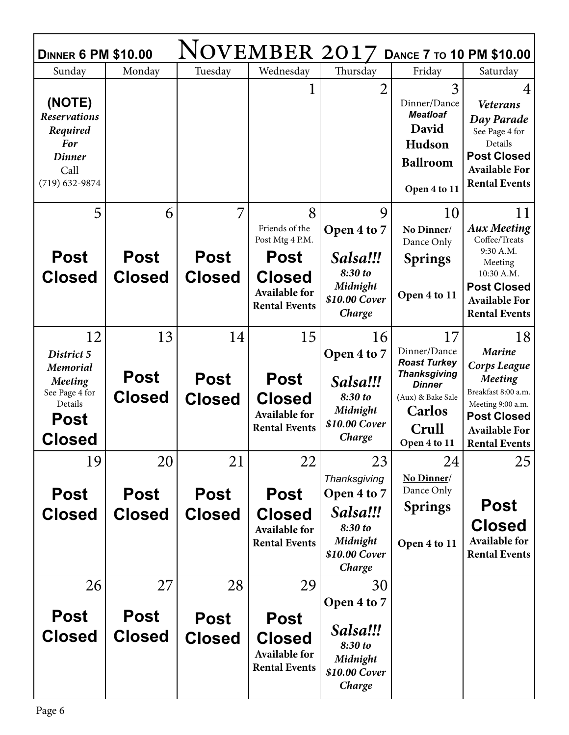| NOVEMBER 2017<br><b>DANCE 7 TO 10 PM \$10.00</b><br><b>DINNER 6 PM \$10.00</b>                               |                                    |                                    |                                                                                    |                                                                                           |                                                                                                                                            |                                                                                                                                                                   |  |  |  |
|--------------------------------------------------------------------------------------------------------------|------------------------------------|------------------------------------|------------------------------------------------------------------------------------|-------------------------------------------------------------------------------------------|--------------------------------------------------------------------------------------------------------------------------------------------|-------------------------------------------------------------------------------------------------------------------------------------------------------------------|--|--|--|
| Sunday                                                                                                       | Monday                             | Tuesday                            | Wednesday                                                                          | Thursday                                                                                  | Friday                                                                                                                                     | Saturday                                                                                                                                                          |  |  |  |
| (NOTE)<br><b>Reservations</b><br>Required<br><b>For</b><br><b>Dinner</b><br>Call<br>$(719) 632 - 9874$       |                                    |                                    |                                                                                    | $\overline{2}$                                                                            | 3<br>Dinner/Dance<br><b>Meatloaf</b><br>David<br>Hudson<br><b>Ballroom</b><br>Open 4 to 11                                                 | 4<br><b>Veterans</b><br>Day Parade<br>See Page 4 for<br>Details<br><b>Post Closed</b><br><b>Available For</b><br><b>Rental Events</b>                             |  |  |  |
| 5                                                                                                            | 6                                  | 7                                  | 8                                                                                  | 9                                                                                         | 10                                                                                                                                         | 11                                                                                                                                                                |  |  |  |
|                                                                                                              |                                    |                                    | Friends of the<br>Post Mtg 4 P.M.                                                  | Open 4 to 7                                                                               | No Dinner/<br>Dance Only                                                                                                                   | <b>Aux Meeting</b><br>Coffee/Treats                                                                                                                               |  |  |  |
| <b>Post</b>                                                                                                  | <b>Post</b>                        | <b>Post</b>                        | Post                                                                               | Salsa!!!                                                                                  | <b>Springs</b>                                                                                                                             | 9:30 A.M.                                                                                                                                                         |  |  |  |
| <b>Closed</b>                                                                                                | <b>Closed</b>                      | <b>Closed</b>                      | <b>Closed</b><br><b>Available for</b><br><b>Rental Events</b>                      | 8:30 to<br>Midnight<br>\$10.00 Cover<br>Charge                                            | Open 4 to 11                                                                                                                               | Meeting<br>10:30 A.M.<br><b>Post Closed</b><br><b>Available For</b><br><b>Rental Events</b>                                                                       |  |  |  |
| 12                                                                                                           | 13                                 | 14                                 | 15                                                                                 | 16                                                                                        | 17                                                                                                                                         | 18                                                                                                                                                                |  |  |  |
| District 5<br><b>Memorial</b><br><b>Meeting</b><br>See Page 4 for<br>Details<br><b>Post</b><br><b>Closed</b> | <b>Post</b><br><b>Closed</b>       | <b>Post</b><br><b>Closed</b>       | <b>Post</b><br><b>Closed</b><br><b>Available for</b><br><b>Rental Events</b>       | Open 4 to 7<br>Salsa!!!<br>8:30 to<br>Midnight<br>\$10.00 Cover<br>Charge                 | Dinner/Dance<br><b>Roast Turkey</b><br><b>Thanksgiving</b><br><b>Dinner</b><br>(Aux) & Bake Sale<br><b>Carlos</b><br>Crull<br>Open 4 to 11 | <b>Marine</b><br>Corps League<br><b>Meeting</b><br>Breakfast 8:00 a.m.<br>Meeting 9:00 a.m.<br><b>Post Closed</b><br><b>Available For</b><br><b>Rental Events</b> |  |  |  |
| 19                                                                                                           | 20                                 | 21                                 | 22                                                                                 | 23                                                                                        | 24                                                                                                                                         | 25                                                                                                                                                                |  |  |  |
| <b>Post</b><br><b>Closed</b>                                                                                 | Post<br><b>Closed</b>              | <b>Post</b><br><b>Closed</b>       | <b>Post</b><br><b>Closed</b><br><b>Available for</b><br><b>Rental Events</b>       | Thanksgiving<br>Open 4 to 7<br>Salsa!!!<br>8:30 to<br>Midnight<br>\$10.00 Cover<br>Charge | No Dinner/<br>Dance Only<br><b>Springs</b><br>Open 4 to 11                                                                                 | <b>Post</b><br><b>Closed</b><br>Available for<br><b>Rental Events</b>                                                                                             |  |  |  |
| 26<br><b>Post</b><br><b>Closed</b>                                                                           | 27<br><b>Post</b><br><b>Closed</b> | 28<br><b>Post</b><br><b>Closed</b> | 29<br><b>Post</b><br><b>Closed</b><br><b>Available for</b><br><b>Rental Events</b> | 30<br>Open 4 to 7<br>Salsa!!!<br>8:30 to<br>Midnight<br>\$10.00 Cover<br>Charge           |                                                                                                                                            |                                                                                                                                                                   |  |  |  |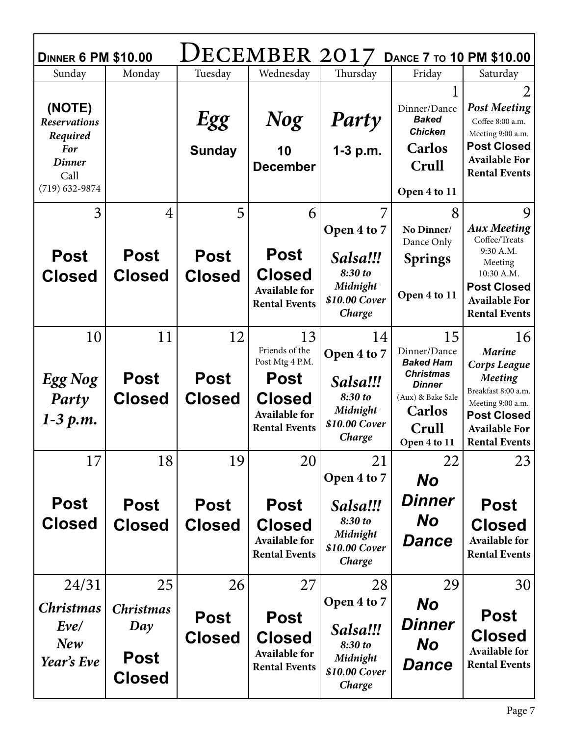| DECEMBER 2017<br><b>DANCE 7 TO 10 PM \$10.00</b><br><b>DINNER 6 PM \$10.00</b>                         |                                                               |                                    |                                                                                    |                                                                                 |                                                                                          |                                                                                                                                                      |  |  |  |
|--------------------------------------------------------------------------------------------------------|---------------------------------------------------------------|------------------------------------|------------------------------------------------------------------------------------|---------------------------------------------------------------------------------|------------------------------------------------------------------------------------------|------------------------------------------------------------------------------------------------------------------------------------------------------|--|--|--|
| Sunday                                                                                                 | Monday                                                        | Tuesday                            | Wednesday                                                                          | Thursday                                                                        | Friday                                                                                   | Saturday                                                                                                                                             |  |  |  |
| (NOTE)<br><b>Reservations</b><br>Required<br><b>For</b><br><b>Dinner</b><br>Call<br>$(719) 632 - 9874$ |                                                               | Egg<br><b>Sunday</b>               | <b>Nog</b><br>10<br><b>December</b>                                                | Party<br>$1-3$ p.m.                                                             | Dinner/Dance<br><b>Baked</b><br><b>Chicken</b><br><b>Carlos</b><br>Crull<br>Open 4 to 11 | $\overline{2}$<br><b>Post Meeting</b><br>Coffee 8:00 a.m.<br>Meeting 9:00 a.m.<br><b>Post Closed</b><br><b>Available For</b><br><b>Rental Events</b> |  |  |  |
| 3                                                                                                      | 4                                                             | 5                                  | 6                                                                                  | 7<br>Open 4 to 7                                                                | 8<br>No Dinner/<br>Dance Only                                                            | 9<br><b>Aux Meeting</b><br>Coffee/Treats<br>9:30 A.M.                                                                                                |  |  |  |
| <b>Post</b><br><b>Closed</b>                                                                           | <b>Post</b><br><b>Closed</b>                                  | <b>Post</b><br><b>Closed</b>       | <b>Post</b><br><b>Closed</b><br><b>Available for</b><br><b>Rental Events</b>       | Salsa!!!<br>8:30 to<br>Midnight<br>\$10.00 Cover<br>Charge                      | <b>Springs</b><br>Open 4 to 11                                                           | Meeting<br>10:30 A.M.<br><b>Post Closed</b><br><b>Available For</b><br><b>Rental Events</b>                                                          |  |  |  |
| 10                                                                                                     | 11<br><b>Post</b>                                             | 12<br><b>Post</b>                  | 13<br>Friends of the<br>Post Mtg 4 P.M.<br><b>Post</b>                             | 14<br>Open 4 to 7                                                               | 15<br>Dinner/Dance<br><b>Baked Ham</b><br><b>Christmas</b>                               | 16<br><b>Marine</b><br>Corps League<br><b>Meeting</b>                                                                                                |  |  |  |
| <b>Egg Nog</b><br>Party<br>$1 - 3 p.m.$                                                                | <b>Closed</b>                                                 | <b>Closed</b>                      | <b>Closed</b><br><b>Available for</b><br><b>Rental Events</b>                      | Salsa!!!<br>8:30 to<br>Midnight<br>\$10.00 Cover<br>Charge                      | <b>Dinner</b><br>(Aux) & Bake Sale<br><b>Carlos</b><br>Crull<br>Open 4 to 11             | Breakfast 8:00 a.m.<br>Meeting 9:00 a.m.<br><b>Post Closed</b><br><b>Available For</b><br><b>Rental Events</b>                                       |  |  |  |
| 17                                                                                                     | 18                                                            | 19                                 | 20                                                                                 | 21<br>Open 4 to 7                                                               | 22<br><b>No</b>                                                                          | 23                                                                                                                                                   |  |  |  |
| <b>Post</b><br><b>Closed</b>                                                                           | <b>Post</b><br><b>Closed</b>                                  | <b>Post</b><br><b>Closed</b>       | <b>Post</b><br><b>Closed</b><br><b>Available for</b><br><b>Rental Events</b>       | Salsa!!!<br>8:30 to<br>Midnight<br>\$10.00 Cover<br>Charge                      | Dinner<br><b>No</b><br><b>Dance</b>                                                      | <b>Post</b><br><b>Closed</b><br><b>Available for</b><br><b>Rental Events</b>                                                                         |  |  |  |
| 24/31<br><b>Christmas</b><br>Eve/<br><b>New</b><br>Year's Eve                                          | 25<br><b>Christmas</b><br>Day<br><b>Post</b><br><b>Closed</b> | 26<br><b>Post</b><br><b>Closed</b> | 27<br><b>Post</b><br><b>Closed</b><br><b>Available for</b><br><b>Rental Events</b> | 28<br>Open 4 to 7<br>Salsa!!!<br>8:30 to<br>Midnight<br>\$10.00 Cover<br>Charge | 29<br><b>No</b><br>Dinner<br><b>No</b><br><b>Dance</b>                                   | 30<br><b>Post</b><br><b>Closed</b><br><b>Available for</b><br><b>Rental Events</b>                                                                   |  |  |  |

г